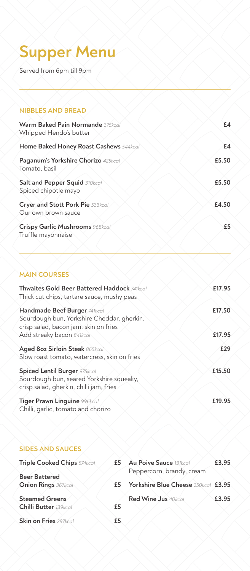# **Supper Menu**

Served from 6pm till 9pm

## **NIBBLES AND BREAD Warm Baked Pain Normande** *375kcal* **£4** Whipped Hendo's butter **Home Baked Honey Roast Cashews** *544kcal* **£4 Paganum's Yorkshire Chorizo** *425kcal* **£5.50** Tomato, basil **Salt and Pepper Squid** *310kcal* **£5.50** Spiced chipotle mayo **Cryer and Stott Pork Pie** *533kcal* **£4.50** Our own brown sauce **Crispy Garlic Mushrooms** *968kcal* **£5** Truffle mayonnaise

### **MAIN COURSES**

| Thwaites Gold Beer Battered Haddock 741kcal<br>Thick cut chips, tartare sauce, mushy peas                           | £17.95 |
|---------------------------------------------------------------------------------------------------------------------|--------|
| Handmade Beef Burger 741kcal<br>Sourdough bun, Yorkshire Cheddar, gherkin,<br>crisp salad, bacon jam, skin on fries | £17.50 |
| Add streaky bacon 841kcal                                                                                           | £17.95 |
| Aged 8oz Sirloin Steak 865kcal<br>Slow roast tomato, watercress, skin on fries                                      | £29    |
| Spiced Lentil Burger 975kcal<br>Sourdough bun, seared Yorkshire squeaky,<br>crisp salad, gherkin, chilli jam, fries | £15.50 |
| Tiger Prawn Linguine 996kcal<br>Chilli, garlic, tomato and chorizo                                                  | £19.95 |

### **SIDES AND SAUCES**

| <b>Triple Cooked Chips</b> 574kcal | £5 | <b>Au Poive Sauce 131kcal</b>       | £3.95 |
|------------------------------------|----|-------------------------------------|-------|
| <b>Beer Battered</b>               |    | Peppercorn, brandy, cream           |       |
| <b>Onion Rings 367kcal</b>         | £5 | Yorkshire Blue Cheese 250kcal £3.95 |       |
| <b>Steamed Greens</b>              |    | Red Wine Jus 40kcal                 | £3.95 |
| Chilli Butter 139kcal              | £5 |                                     |       |
| Skin on Fries 297kcal              | £5 |                                     |       |